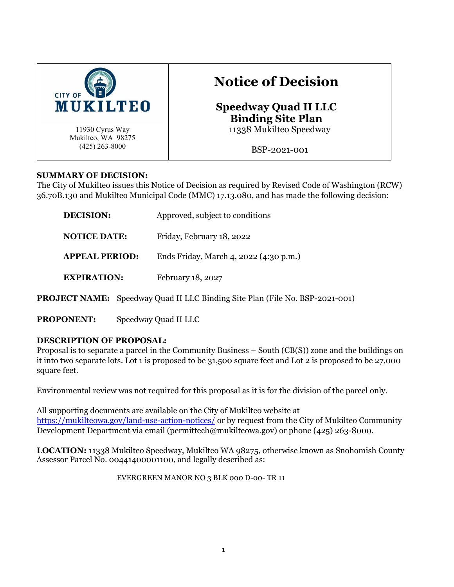

# **Notice of Decision**

**Speedway Quad II LLC Binding Site Plan** 11338 Mukilteo Speedway

BSP-2021-001

## **SUMMARY OF DECISION:**

The City of Mukilteo issues this Notice of Decision as required by Revised Code of Washington (RCW) 36.70B.130 and Mukilteo Municipal Code (MMC) 17.13.080, and has made the following decision:

| DECISION:             | Approved, subject to conditions        |
|-----------------------|----------------------------------------|
| <b>NOTICE DATE:</b>   | Friday, February 18, 2022              |
| <b>APPEAL PERIOD:</b> | Ends Friday, March 4, 2022 (4:30 p.m.) |
| <b>EXPIRATION:</b>    | February 18, 2027                      |

**PROJECT NAME:** Speedway Quad II LLC Binding Site Plan (File No. BSP-2021-001)

**PROPONENT:** Speedway Quad II LLC

# **DESCRIPTION OF PROPOSAL:**

Proposal is to separate a parcel in the Community Business – South (CB(S)) zone and the buildings on it into two separate lots. Lot 1 is proposed to be 31,500 square feet and Lot 2 is proposed to be 27,000 square feet.

Environmental review was not required for this proposal as it is for the division of the parcel only.

All supporting documents are available on the City of Mukilteo website at <https://mukilteowa.gov/land-use-action-notices/> or by request from the City of Mukilteo Community Development Department via email (permittech@mukilteowa.gov) or phone (425) 263-8000.

**LOCATION:** 11338 Mukilteo Speedway, Mukilteo WA 98275, otherwise known as Snohomish County Assessor Parcel No. 00441400001100, and legally described as:

EVERGREEN MANOR NO 3 BLK 000 D-00- TR 11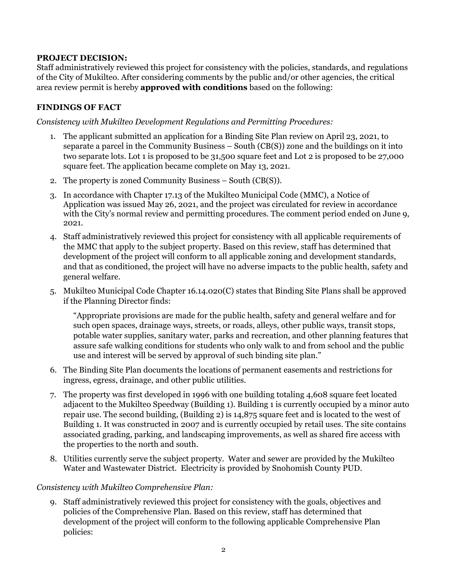#### **PROJECT DECISION:**

Staff administratively reviewed this project for consistency with the policies, standards, and regulations of the City of Mukilteo. After considering comments by the public and/or other agencies, the critical area review permit is hereby **approved with conditions** based on the following:

## **FINDINGS OF FACT**

*Consistency with Mukilteo Development Regulations and Permitting Procedures:*

- 1. The applicant submitted an application for a Binding Site Plan review on April 23, 2021, to separate a parcel in the Community Business – South (CB(S)) zone and the buildings on it into two separate lots. Lot 1 is proposed to be 31,500 square feet and Lot 2 is proposed to be 27,000 square feet. The application became complete on May 13, 2021.
- 2. The property is zoned Community Business South (CB(S)).
- 3. In accordance with Chapter 17.13 of the Mukilteo Municipal Code (MMC), a Notice of Application was issued May 26, 2021, and the project was circulated for review in accordance with the City's normal review and permitting procedures. The comment period ended on June 9, 2021.
- 4. Staff administratively reviewed this project for consistency with all applicable requirements of the MMC that apply to the subject property. Based on this review, staff has determined that development of the project will conform to all applicable zoning and development standards, and that as conditioned, the project will have no adverse impacts to the public health, safety and general welfare.
- 5. Mukilteo Municipal Code Chapter 16.14.020(C) states that Binding Site Plans shall be approved if the Planning Director finds:

"Appropriate provisions are made for the public health, safety and general welfare and for such open spaces, drainage ways, streets, or roads, alleys, other public ways, transit stops, potable water supplies, sanitary water, parks and recreation, and other planning features that assure safe walking conditions for students who only walk to and from school and the public use and interest will be served by approval of such binding site plan."

- 6. The Binding Site Plan documents the locations of permanent easements and restrictions for ingress, egress, drainage, and other public utilities.
- 7. The property was first developed in 1996 with one building totaling 4,608 square feet located adjacent to the Mukilteo Speedway (Building 1). Building 1 is currently occupied by a minor auto repair use. The second building, (Building 2) is 14,875 square feet and is located to the west of Building 1. It was constructed in 2007 and is currently occupied by retail uses. The site contains associated grading, parking, and landscaping improvements, as well as shared fire access with the properties to the north and south.
- 8. Utilities currently serve the subject property. Water and sewer are provided by the Mukilteo Water and Wastewater District. Electricity is provided by Snohomish County PUD.

#### *Consistency with Mukilteo Comprehensive Plan:*

9. Staff administratively reviewed this project for consistency with the goals, objectives and policies of the Comprehensive Plan. Based on this review, staff has determined that development of the project will conform to the following applicable Comprehensive Plan policies: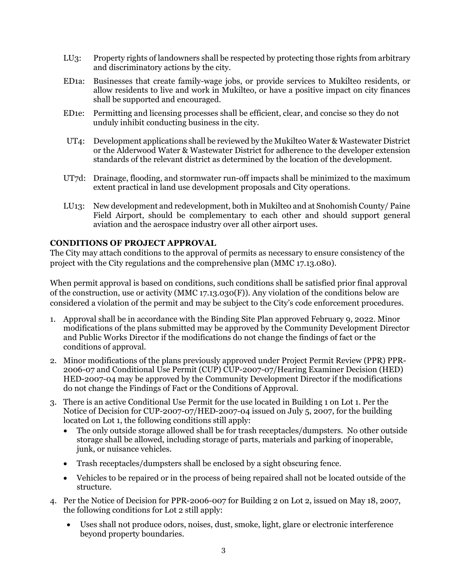- LU3: Property rights of landowners shall be respected by protecting those rights from arbitrary and discriminatory actions by the city.
- ED1a: Businesses that create family-wage jobs, or provide services to Mukilteo residents, or allow residents to live and work in Mukilteo, or have a positive impact on city finances shall be supported and encouraged.
- ED1e: Permitting and licensing processes shall be efficient, clear, and concise so they do not unduly inhibit conducting business in the city.
- UT4: Development applications shall be reviewed by the Mukilteo Water & Wastewater District or the Alderwood Water & Wastewater District for adherence to the developer extension standards of the relevant district as determined by the location of the development.
- UT7d: Drainage, flooding, and stormwater run-off impacts shall be minimized to the maximum extent practical in land use development proposals and City operations.
- LU13: New development and redevelopment, both in Mukilteo and at Snohomish County/ Paine Field Airport, should be complementary to each other and should support general aviation and the aerospace industry over all other airport uses.

## **CONDITIONS OF PROJECT APPROVAL**

The City may attach conditions to the approval of permits as necessary to ensure consistency of the project with the City regulations and the comprehensive plan (MMC 17.13.080).

When permit approval is based on conditions, such conditions shall be satisfied prior final approval of the construction, use or activity (MMC 17.13.030 $(F)$ ). Any violation of the conditions below are considered a violation of the permit and may be subject to the City's code enforcement procedures.

- 1. Approval shall be in accordance with the Binding Site Plan approved February 9, 2022. Minor modifications of the plans submitted may be approved by the Community Development Director and Public Works Director if the modifications do not change the findings of fact or the conditions of approval.
- 2. Minor modifications of the plans previously approved under Project Permit Review (PPR) PPR-2006-07 and Conditional Use Permit (CUP) CUP-2007-07/Hearing Examiner Decision (HED) HED-2007-04 may be approved by the Community Development Director if the modifications do not change the Findings of Fact or the Conditions of Approval.
- 3. There is an active Conditional Use Permit for the use located in Building 1 on Lot 1. Per the Notice of Decision for CUP-2007-07/HED-2007-04 issued on July 5, 2007, for the building located on Lot 1, the following conditions still apply:
	- The only outside storage allowed shall be for trash receptacles/dumpsters. No other outside storage shall be allowed, including storage of parts, materials and parking of inoperable, junk, or nuisance vehicles.
	- Trash receptacles/dumpsters shall be enclosed by a sight obscuring fence.
	- Vehicles to be repaired or in the process of being repaired shall not be located outside of the structure.
- 4. Per the Notice of Decision for PPR-2006-007 for Building 2 on Lot 2, issued on May 18, 2007, the following conditions for Lot 2 still apply:
	- Uses shall not produce odors, noises, dust, smoke, light, glare or electronic interference beyond property boundaries.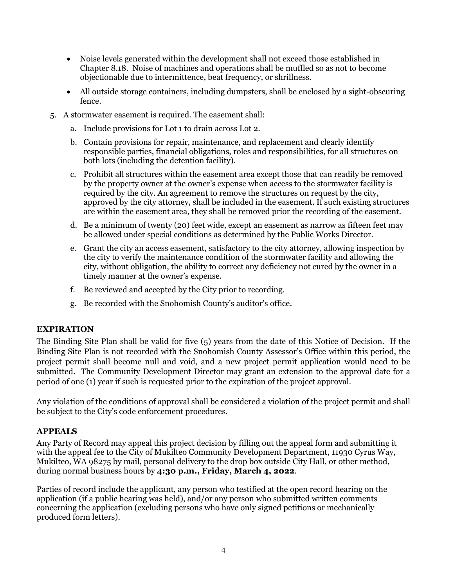- Noise levels generated within the development shall not exceed those established in Chapter 8.18. Noise of machines and operations shall be muffled so as not to become objectionable due to intermittence, beat frequency, or shrillness.
- All outside storage containers, including dumpsters, shall be enclosed by a sight-obscuring fence.
- 5. A stormwater easement is required. The easement shall:
	- a. Include provisions for Lot 1 to drain across Lot 2.
	- b. Contain provisions for repair, maintenance, and replacement and clearly identify responsible parties, financial obligations, roles and responsibilities, for all structures on both lots (including the detention facility).
	- c. Prohibit all structures within the easement area except those that can readily be removed by the property owner at the owner's expense when access to the stormwater facility is required by the city. An agreement to remove the structures on request by the city, approved by the city attorney, shall be included in the easement. If such existing structures are within the easement area, they shall be removed prior the recording of the easement.
	- d. Be a minimum of twenty (20) feet wide, except an easement as narrow as fifteen feet may be allowed under special conditions as determined by the Public Works Director.
	- e. Grant the city an access easement, satisfactory to the city attorney, allowing inspection by the city to verify the maintenance condition of the stormwater facility and allowing the city, without obligation, the ability to correct any deficiency not cured by the owner in a timely manner at the owner's expense.
	- f. Be reviewed and accepted by the City prior to recording.
	- g. Be recorded with the Snohomish County's auditor's office.

#### **EXPIRATION**

The Binding Site Plan shall be valid for five (5) years from the date of this Notice of Decision. If the Binding Site Plan is not recorded with the Snohomish County Assessor's Office within this period, the project permit shall become null and void, and a new project permit application would need to be submitted. The Community Development Director may grant an extension to the approval date for a period of one (1) year if such is requested prior to the expiration of the project approval.

Any violation of the conditions of approval shall be considered a violation of the project permit and shall be subject to the City's code enforcement procedures.

# **APPEALS**

Any Party of Record may appeal this project decision by filling out the appeal form and submitting it with the appeal fee to the City of Mukilteo Community Development Department, 11930 Cyrus Way, Mukilteo, WA 98275 by mail, personal delivery to the drop box outside City Hall, or other method, during normal business hours by **4:30 p.m., Friday, March 4, 2022**.

Parties of record include the applicant, any person who testified at the open record hearing on the application (if a public hearing was held), and/or any person who submitted written comments concerning the application (excluding persons who have only signed petitions or mechanically produced form letters).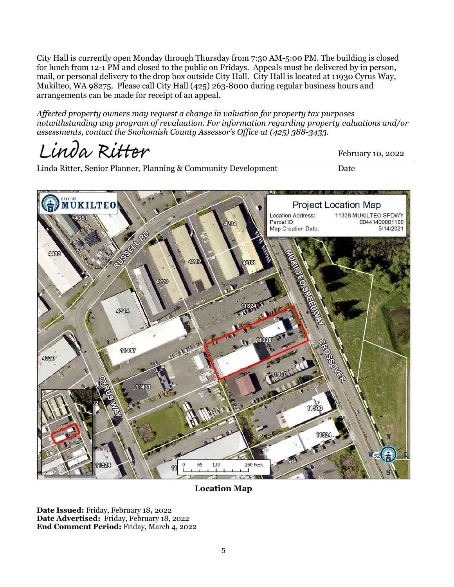City Hall is currently open Monday through Thursday from 7:30 AM-5:00 PM. The building is closed for lunch from 12-1 PM and closed to the public on Fridays. Appeals must be delivered by in person, mail, or personal delivery to the drop box outside City Hall. City Hall is located at 11930 Cyrus Way, Mukilteo, WA 98275. Please call City Hall (425) 263-8000 during regular business hours and arrangements can be made for receipt of an appeal.

*Affected property owners may request a change in valuation for property tax purposes notwithstanding any program of revaluation. For information regarding property valuations and/or assessments, contact the Snohomish County Assessor's Office at (425) 388-3433.* 

Linda Ritter

Linda Ritter, Senior Planner, Planning & Community Development Date

**MUKILTEO Project Location Map** 11338 MUKILTEO SPDWY **Location Address:** 00441400001100 Parcel ID: 5/14/2021 Map Creation Date:  $\alpha$ 4314 **18.44 16** 11417 4380 11431 11500 130 260 Fee

#### **Location Map**

**Date Issued:** Friday, February 18**,** 2022 **Date Advertised:** Friday, February 18, 2022 **End Comment Period:** Friday, March 4, 2022 February 10, 2022